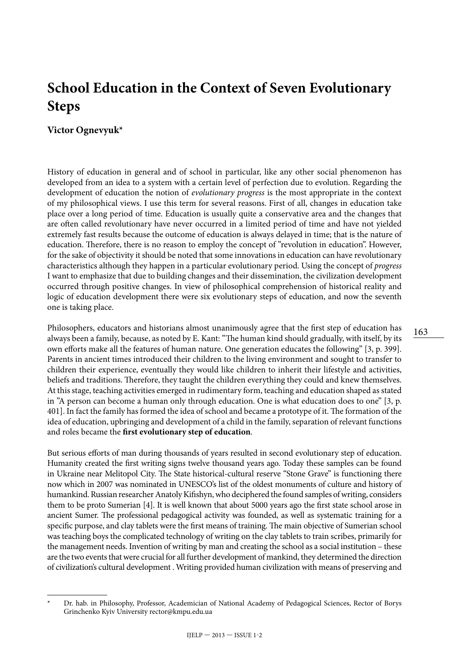# **School Education in the Context of Seven Evolutionary Steps**

## **Victor Ognevyuk\***

History of education in general and of school in particular, like any other social phenomenon has developed from an idea to a system with a certain level of perfection due to evolution. Regarding the development of education the notion of *evolutionary progress* is the most appropriate in the context of my philosophical views. I use this term for several reasons. First of all, changes in education take place over a long period of time. Education is usually quite a conservative area and the changes that are often called revolutionary have never occurred in a limited period of time and have not yielded extremely fast results because the outcome of education is always delayed in time; that is the nature of education. Therefore, there is no reason to employ the concept of "revolution in education". However, for the sake of objectivity it should be noted that some innovations in education can have revolutionary characteristics although they happen in a particular evolutionary period. Using the concept of *progress* I want to emphasize that due to building changes and their dissemination, the civilization development occurred through positive changes. In view of philosophical comprehension of historical reality and logic of education development there were six evolutionary steps of education, and now the seventh one is taking place.

Philosophers, educators and historians almost unanimously agree that the first step of education has always been a family, because, as noted by E. Kant: "The human kind should gradually, with itself, by its own efforts make all the features of human nature. One generation educates the following" [3, p. 399]. Parents in ancient times introduced their children to the living environment and sought to transfer to children their experience, eventually they would like children to inherit their lifestyle and activities, beliefs and traditions. Therefore, they taught the children everything they could and knew themselves. At this stage, teaching activities emerged in rudimentary form, teaching and education shaped as stated in "A person can become a human only through education. One is what education does to one" [3, p. 401]. In fact the family has formed the idea of school and became a prototype of it. The formation of the idea of education, upbringing and development of a child in the family, separation of relevant functions and roles became the **first evolutionary step of education**.

But serious efforts of man during thousands of years resulted in second evolutionary step of education. Humanity created the first writing signs twelve thousand years ago. Today these samples can be found in Ukraine near Melitopol City. The State historical-cultural reserve "Stone Grave" is functioning there now which in 2007 was nominated in UNESCO's list of the oldest monuments of culture and history of humankind. Russian researcher Anatoly Kifishyn, who deciphered the found samples of writing, considers them to be proto Sumerian [4]. It is well known that about 5000 years ago the first state school arose in ancient Sumer. The professional pedagogical activity was founded, as well as systematic training for a specific purpose, and clay tablets were the first means of training. The main objective of Sumerian school was teaching boys the complicated technology of writing on the clay tablets to train scribes, primarily for the management needs. Invention of writing by man and creating the school as a social institution – these are the two events that were crucial for all further development of mankind, they determined the direction of civilization's cultural development . Writing provided human civilization with means of preserving and

<sup>\*</sup> Dr. hab. in Philosophy, Professor, Academician of National Academy of Pedagogical Sciences, Rector of Borys Grinchenko Kyiv University [rector@kmpu.edu.ua](mailto:rector@kmpu.edu.ua)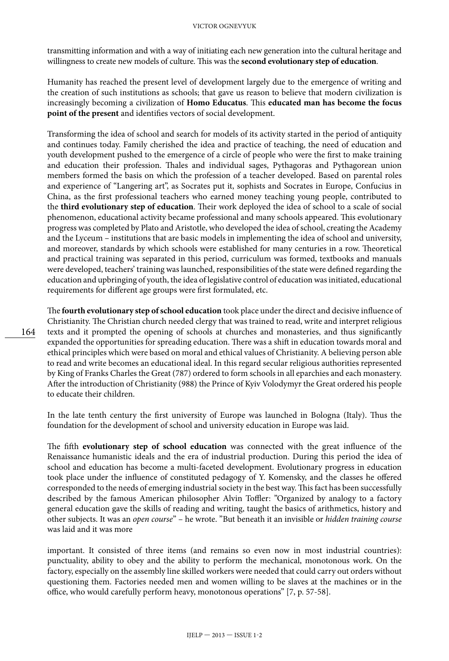transmitting information and with a way of initiating each new generation into the cultural heritage and willingness to create new models of culture. This was the **second evolutionary step of education**.

Humanity has reached the present level of development largely due to the emergence of writing and the creation of such institutions as schools; that gave us reason to believe that modern civilization is increasingly becoming a civilization of **Homo Educatus**. This **educated man has become the focus point of the present** and identifies vectors of social development.

Transforming the idea of school and search for models of its activity started in the period of antiquity and continues today. Family cherished the idea and practice of teaching, the need of education and youth development pushed to the emergence of a circle of people who were the first to make training and education their profession. Thales and individual sages, Pythagoras and Pythagorean union members formed the basis on which the profession of a teacher developed. Based on parental roles and experience of "Langering art", as Socrates put it, sophists and Socrates in Europe, Confucius in China, as the first professional teachers who earned money teaching young people, contributed to the **third evolutionary step of education**. Their work deployed the idea of school to a scale of social phenomenon, educational activity became professional and many schools appeared. This evolutionary progress was completed by Plato and Aristotle, who developed the idea of school, creating the Academy and the Lyceum – institutions that are basic models in implementing the idea of school and university, and moreover, standards by which schools were established for many centuries in a row. Theoretical and practical training was separated in this period, curriculum was formed, textbooks and manuals were developed, teachers' training was launched, responsibilities of the state were defined regarding the education and upbringing of youth, the idea of legislative control of education was initiated, educational requirements for different age groups were first formulated, etc.

The **fourth evolutionary step of school education** took place under the direct and decisive influence of Christianity. The Christian church needed clergy that was trained to read, write and interpret religious texts and it prompted the opening of schools at churches and monasteries, and thus significantly expanded the opportunities for spreading education. There was a shift in education towards moral and ethical principles which were based on moral and ethical values of Christianity. A believing person able to read and write becomes an educational ideal. In this regard secular religious authorities represented by King of Franks Charles the Great (787) ordered to form schools in all eparchies and each monastery. After the introduction of Christianity (988) the Prince of Kyiv Volodymyr the Great ordered his people to educate their children.

In the late tenth century the first university of Europe was launched in Bologna (Italy). Thus the foundation for the development of school and university education in Europe was laid.

The fifth **evolutionary step of school education** was connected with the great influence of the Renaissance humanistic ideals and the era of industrial production. During this period the idea of school and education has become a multi-faceted development. Evolutionary progress in education took place under the influence of constituted pedagogy of Y. Komensky, and the classes he offered corresponded to the needs of emerging industrial society in the best way. This fact has been successfully described by the famous American philosopher Alvin Toffler: "Organized by analogy to a factory general education gave the skills of reading and writing, taught the basics of arithmetics, history and other subjects. It was an *open course*" – he wrote. "But beneath it an invisible or *hidden training course* was laid and it was more

important. It consisted of three items (and remains so even now in most industrial countries): punctuality, ability to obey and the ability to perform the mechanical, monotonous work. On the factory, especially on the assembly line skilled workers were needed that could carry out orders without questioning them. Factories needed men and women willing to be slaves at the machines or in the office, who would carefully perform heavy, monotonous operations" [7, p. 57-58].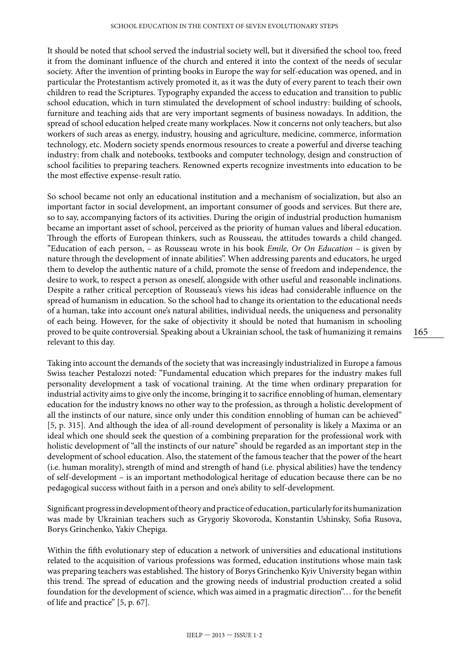It should be noted that school served the industrial society well, but it diversified the school too, freed it from the dominant influence of the church and entered it into the context of the needs of secular society. After the invention of printing books in Europe the way for self-education was opened, and in particular the Protestantism actively promoted it, as it was the duty of every parent to teach their own children to read the Scriptures. Typography expanded the access to education and transition to public school education, which in turn stimulated the development of school industry: building of schools, furniture and teaching aids that are very important segments of business nowadays. In addition, the spread of school education helped create many workplaces. Now it concerns not only teachers, but also workers of such areas as energy, industry, housing and agriculture, medicine, commerce, information technology, etc. Modern society spends enormous resources to create a powerful and diverse teaching industry: from chalk and notebooks, textbooks and computer technology, design and construction of school facilities to preparing teachers. Renowned experts recognize investments into education to be the most effective expense-result ratio.

So school became not only an educational institution and a mechanism of socialization, but also an important factor in social development, an important consumer of goods and services. But there are, so to say, accompanying factors of its activities. During the origin of industrial production humanism became an important asset of school, perceived as the priority of human values and liberal education. Through the efforts of European thinkers, such as Rousseau, the attitudes towards a child changed. "Education of each person, – as Rousseau wrote in his book *Emile, Or On Education* – is given by nature through the development of innate abilities". When addressing parents and educators, he urged them to develop the authentic nature of a child, promote the sense of freedom and independence, the desire to work, to respect a person as oneself, alongside with other useful and reasonable inclinations. Despite a rather critical perception of Rousseau's views his ideas had considerable influence on the spread of humanism in education. So the school had to change its orientation to the educational needs of a human, take into account one's natural abilities, individual needs, the uniqueness and personality of each being. However, for the sake of objectivity it should be noted that humanism in schooling proved to be quite controversial. Speaking about a Ukrainian school, the task of humanizing it remains relevant to this day.

Taking into account the demands of the society that was increasingly industrialized in Europe a famous Swiss teacher Pestalozzi noted: "Fundamental education which prepares for the industry makes full personality development a task of vocational training. At the time when ordinary preparation for industrial activity aims to give only the income, bringing it to sacrifice ennobling of human, elementary education for the industry knows no other way to the profession, as through a holistic development of all the instincts of our nature, since only under this condition ennobling of human can be achieved" [5, p. 315]. And although the idea of all-round development of personality is likely a Maxima or an ideal which one should seek the question of a combining preparation for the professional work with holistic development of "all the instincts of our nature" should be regarded as an important step in the development of school education. Also, the statement of the famous teacher that the power of the heart (i.e. human morality), strength of mind and strength of hand (i.e. physical abilities) have the tendency of self-development – is an important methodological heritage of education because there can be no pedagogical success without faith in a person and one's ability to self-development.

Significant progress in development of theory and practice of education, particularly for its humanization was made by Ukrainian teachers such as Grygoriy Skovoroda, Konstantin Ushinsky, Sofia Rusova, Borys Grinchenko, Yakiv Chepiga.

Within the fifth evolutionary step of education a network of universities and educational institutions related to the acquisition of various professions was formed, education institutions whose main task was preparing teachers was established. The history of Borys Grinchenko Kyiv University began within this trend. The spread of education and the growing needs of industrial production created a solid foundation for the development of science, which was aimed in a pragmatic direction"… for the benefit of life and practice" [5, p. 67].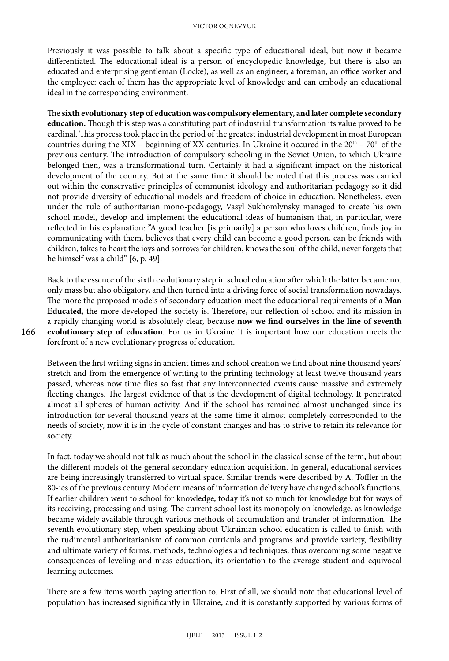#### VICTOR OGNEVYUK

Previously it was possible to talk about a specific type of educational ideal, but now it became differentiated. The educational ideal is a person of encyclopedic knowledge, but there is also an educated and enterprising gentleman (Locke), as well as an engineer, a foreman, an office worker and the employee: each of them has the appropriate level of knowledge and can embody an educational ideal in the corresponding environment.

The **sixth evolutionary step of education was compulsory elementary, and later complete secondary education.** Though this step was a constituting part of industrial transformation its value proved to be cardinal. This process took place in the period of the greatest industrial development in most European countries during the XIX – beginning of XX centuries. In Ukraine it occured in the  $20<sup>th</sup>$  –  $70<sup>th</sup>$  of the previous century. The introduction of compulsory schooling in the Soviet Union, to which Ukraine belonged then, was a transformational turn. Certainly it had a significant impact on the historical development of the country. But at the same time it should be noted that this process was carried out within the conservative principles of communist ideology and authoritarian pedagogy so it did not provide diversity of educational models and freedom of choice in education. Nonetheless, even under the rule of authoritarian mono-pedagogy, Vasyl Sukhomlynsky managed to create his own school model, develop and implement the educational ideas of humanism that, in particular, were reflected in his explanation: "A good teacher [is primarily] a person who loves children, finds joy in communicating with them, believes that every child can become a good person, can be friends with children, takes to heart the joys and sorrows for children, knows the soul of the child, never forgets that he himself was a child" [6, p. 49].

Back to the essence of the sixth evolutionary step in school education after which the latter became not only mass but also obligatory, and then turned into a driving force of social transformation nowadays. The more the proposed models of secondary education meet the educational requirements of a **Man Educated**, the more developed the society is. Therefore, our reflection of school and its mission in a rapidly changing world is absolutely clear, because **now we find ourselves in the line of seventh evolutionary step of education**. For us in Ukraine it is important how our education meets the forefront of a new evolutionary progress of education.

Between the first writing signs in ancient times and school creation we find about nine thousand years' stretch and from the emergence of writing to the printing technology at least twelve thousand years passed, whereas now time flies so fast that any interconnected events cause massive and extremely fleeting changes. The largest evidence of that is the development of digital technology. It penetrated almost all spheres of human activity. And if the school has remained almost unchanged since its introduction for several thousand years at the same time it almost completely corresponded to the needs of society, now it is in the cycle of constant changes and has to strive to retain its relevance for society.

In fact, today we should not talk as much about the school in the classical sense of the term, but about the different models of the general secondary education acquisition. In general, educational services are being increasingly transferred to virtual space. Similar trends were described by A. Toffler in the 80-ies of the previous century. Modern means of information delivery have changed school's functions. If earlier children went to school for knowledge, today it's not so much for knowledge but for ways of its receiving, processing and using. The current school lost its monopoly on knowledge, as knowledge became widely available through various methods of accumulation and transfer of information. The seventh evolutionary step, when speaking about Ukrainian school education is called to finish with the rudimental authoritarianism of common curricula and programs and provide variety, flexibility and ultimate variety of forms, methods, technologies and techniques, thus overcoming some negative consequences of leveling and mass education, its orientation to the average student and equivocal learning outcomes.

There are a few items worth paying attention to. First of all, we should note that educational level of population has increased significantly in Ukraine, and it is constantly supported by various forms of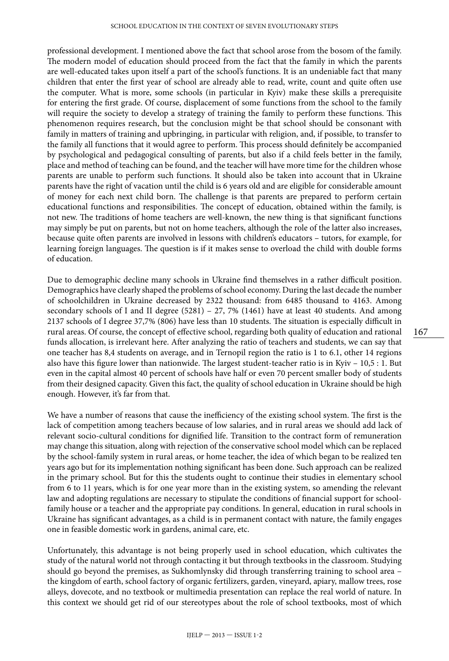professional development. I mentioned above the fact that school arose from the bosom of the family. The modern model of education should proceed from the fact that the family in which the parents are well-educated takes upon itself a part of the school's functions. It is an undeniable fact that many children that enter the first year of school are already able to read, write, count and quite often use the computer. What is more, some schools (in particular in Kyiv) make these skills a prerequisite for entering the first grade. Of course, displacement of some functions from the school to the family will require the society to develop a strategy of training the family to perform these functions. This phenomenon requires research, but the conclusion might be that school should be consonant with family in matters of training and upbringing, in particular with religion, and, if possible, to transfer to the family all functions that it would agree to perform. This process should definitely be accompanied by psychological and pedagogical consulting of parents, but also if a child feels better in the family, place and method of teaching can be found, and the teacher will have more time for the children whose parents are unable to perform such functions. It should also be taken into account that in Ukraine parents have the right of vacation until the child is 6 years old and are eligible for considerable amount of money for each next child born. The challenge is that parents are prepared to perform certain educational functions and responsibilities. The concept of education, obtained within the family, is not new. The traditions of home teachers are well-known, the new thing is that significant functions may simply be put on parents, but not on home teachers, although the role of the latter also increases, because quite often parents are involved in lessons with children's educators – tutors, for example, for learning foreign languages. The question is if it makes sense to overload the child with double forms of education.

Due to demographic decline many schools in Ukraine find themselves in a rather difficult position. Demographics have clearly shaped the problems of school economy. During the last decade the number of schoolchildren in Ukraine decreased by 2322 thousand: from 6485 thousand to 4163. Among secondary schools of I and II degree  $(5281)$  – 27, 7%  $(1461)$  have at least 40 students. And among 2137 schools of I degree 37,7% (806) have less than 10 students. The situation is especially difficult in rural areas. Of course, the concept of effective school, regarding both quality of education and rational funds allocation, is irrelevant here. After analyzing the ratio of teachers and students, we can say that one teacher has 8,4 students on average, and in Ternopil region the ratio is 1 to 6.1, other 14 regions also have this figure lower than nationwide. The largest student-teacher ratio is in Kyiv – 10,5 : 1. But even in the capital almost 40 percent of schools have half or even 70 percent smaller body of students from their designed capacity. Given this fact, the quality of school education in Ukraine should be high enough. However, it's far from that.

We have a number of reasons that cause the inefficiency of the existing school system. The first is the lack of competition among teachers because of low salaries, and in rural areas we should add lack of relevant socio-cultural conditions for dignified life. Transition to the contract form of remuneration may change this situation, along with rejection of the conservative school model which can be replaced by the school-family system in rural areas, or home teacher, the idea of which began to be realized ten years ago but for its implementation nothing significant has been done. Such approach can be realized in the primary school. But for this the students ought to continue their studies in elementary school from 6 to 11 years, which is for one year more than in the existing system, so amending the relevant law and adopting regulations are necessary to stipulate the conditions of financial support for schoolfamily house or a teacher and the appropriate pay conditions. In general, education in rural schools in Ukraine has significant advantages, as a child is in permanent contact with nature, the family engages one in feasible domestic work in gardens, animal care, etc.

Unfortunately, this advantage is not being properly used in school education, which cultivates the study of the natural world not through contacting it but through textbooks in the classroom. Studying should go beyond the premises, as Sukhomlynsky did through transferring training to school area – the kingdom of earth, school factory of organic fertilizers, garden, vineyard, apiary, mallow trees, rose alleys, dovecote, and no textbook or multimedia presentation can replace the real world of nature. In this context we should get rid of our stereotypes about the role of school textbooks, most of which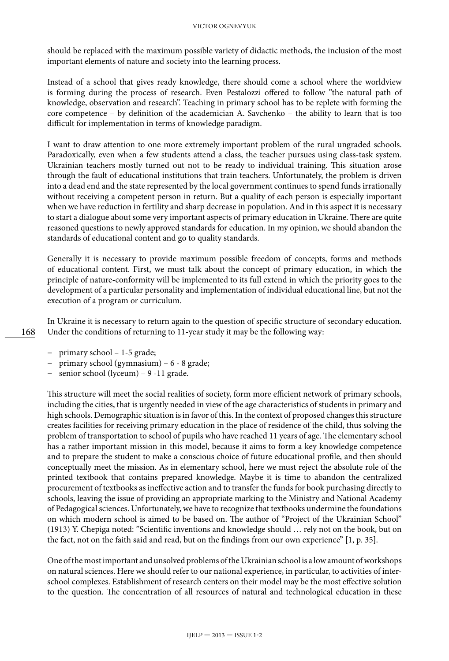#### VICTOR OGNEVYUK

should be replaced with the maximum possible variety of didactic methods, the inclusion of the most important elements of nature and society into the learning process.

Instead of a school that gives ready knowledge, there should come a school where the worldview is forming during the process of research. Even Pestalozzi offered to follow "the natural path of knowledge, observation and research". Teaching in primary school has to be replete with forming the core competence – by definition of the academician A. Savchenko – the ability to learn that is too difficult for implementation in terms of knowledge paradigm.

I want to draw attention to one more extremely important problem of the rural ungraded schools. Paradoxically, even when a few students attend a class, the teacher pursues using class-task system. Ukrainian teachers mostly turned out not to be ready to individual training. This situation arose through the fault of educational institutions that train teachers. Unfortunately, the problem is driven into a dead end and the state represented by the local government continues to spend funds irrationally without receiving a competent person in return. But a quality of each person is especially important when we have reduction in fertility and sharp decrease in population. And in this aspect it is necessary to start a dialogue about some very important aspects of primary education in Ukraine. There are quite reasoned questions to newly approved standards for education. In my opinion, we should abandon the standards of educational content and go to quality standards.

Generally it is necessary to provide maximum possible freedom of concepts, forms and methods of educational content. First, we must talk about the concept of primary education, in which the principle of nature-conformity will be implemented to its full extend in which the priority goes to the development of a particular personality and implementation of individual educational line, but not the execution of a program or curriculum.

In Ukraine it is necessary to return again to the question of specific structure of secondary education. Under the conditions of returning to 11-year study it may be the following way:

- − primary school 1-5 grade;
- − primary school (gymnasium) 6 8 grade;
- − senior school (lyceum) 9 -11 grade.

This structure will meet the social realities of society, form more efficient network of primary schools, including the cities, that is urgently needed in view of the age characteristics of students in primary and high schools. Demographic situation is in favor of this. In the context of proposed changes this structure creates facilities for receiving primary education in the place of residence of the child, thus solving the problem of transportation to school of pupils who have reached 11 years of age. The elementary school has a rather important mission in this model, because it aims to form a key knowledge competence and to prepare the student to make a conscious choice of future educational profile, and then should conceptually meet the mission. As in elementary school, here we must reject the absolute role of the printed textbook that contains prepared knowledge. Maybe it is time to abandon the centralized procurement of textbooks as ineffective action and to transfer the funds for book purchasing directly to schools, leaving the issue of providing an appropriate marking to the Ministry and National Academy of Pedagogical sciences. Unfortunately, we have to recognize that textbooks undermine the foundations on which modern school is aimed to be based on. The author of "Project of the Ukrainian School" (1913) Y. Chepiga noted: "Scientific inventions and knowledge should … rely not on the book, but on the fact, not on the faith said and read, but on the findings from our own experience" [1, p. 35].

One of the most important and unsolved problems of the Ukrainian school is a low amount of workshops on natural sciences. Here we should refer to our national experience, in particular, to activities of interschool complexes. Establishment of research centers on their model may be the most effective solution to the question. The concentration of all resources of natural and technological education in these